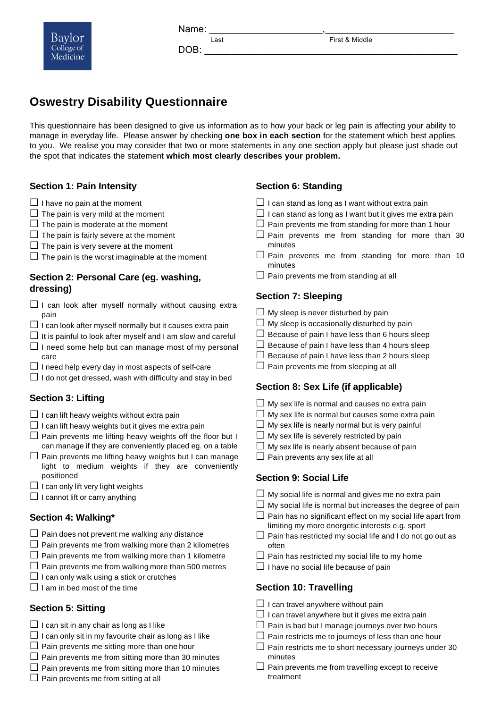## **Oswestry Disability Questionnaire**

This questionnaire has been designed to give us information as to how your back or leg pain is affecting your ability to manage in everyday life. Please answer by checking **one box in each section** for the statement which best applies to you. We realise you may consider that two or more statements in any one section apply but please just shade out the spot that indicates the statement **which most clearly describes your problem.**

## **Section 1: Pain Intensity**

- $\square$  I have no pain at the moment
- $\Box$  The pain is very mild at the moment
- $\square$  The pain is moderate at the moment
- $\Box$  The pain is fairly severe at the moment
- $\square$  The pain is very severe at the moment
- $\square$  The pain is the worst imaginable at the moment

#### **Section 2: Personal Care (eg. washing, dressing)**

- $\square$  I can look after myself normally without causing extra pain
- $\square$  I can look after myself normally but it causes extra pain
- $\Box$  It is painful to look after myself and I am slow and careful
- $\Box$  I need some help but can manage most of my personal care
- $\square$  I need help every day in most aspects of self-care
- $\Box$  I do not get dressed, wash with difficulty and stay in bed

## **Section 3: Lifting**

- $\Box$  I can lift heavy weights without extra pain
- $\square$  I can lift heavy weights but it gives me extra pain
- $\square$  Pain prevents me lifting heavy weights off the floor but I can manage if they are conveniently placed eg. on a table
- $\square$  Pain prevents me lifting heavy weights but I can manage light to medium weights if they are conveniently positioned
- $\square$  I can only lift very light weights
- $\Box$  I cannot lift or carry anything

## **Section 4: Walking\***

- $\square$  Pain does not prevent me walking any distance
- $\Box$  Pain prevents me from walking more than 2 kilometres
- $\square$  Pain prevents me from walking more than 1 kilometre
- $\Box$  Pain prevents me from walking more than 500 metres
- $\square$  I can only walk using a stick or crutches
- $\Box$  I am in bed most of the time

## **Section 5: Sitting**

- $\Box$  I can sit in any chair as long as I like
- $\Box$  I can only sit in my favourite chair as long as I like
- $\square$  Pain prevents me sitting more than one hour
- $\square$  Pain prevents me from sitting more than 30 minutes
- $\square$  Pain prevents me from sitting more than 10 minutes
- $\square$  Pain prevents me from sitting at all

## **Section 6: Standing**

- $\square$  I can stand as long as I want without extra pain
- $\Box$  I can stand as long as I want but it gives me extra pain
- $\square$  Pain prevents me from standing for more than 1 hour
- $\square$  Pain prevents me from standing for more than 30 minutes
- $\square$  Pain prevents me from standing for more than 10 minutes
- $\square$  Pain prevents me from standing at all

## **Section 7: Sleeping**

- $\Box$  My sleep is never disturbed by pain
- $\Box$  My sleep is occasionally disturbed by pain
- $\Box$  Because of pain I have less than 6 hours sleep
- $\square$  Because of pain I have less than 4 hours sleep
- $\square$  Because of pain I have less than 2 hours sleep
- $\square$  Pain prevents me from sleeping at all

## **Section 8: Sex Life (if applicable)**

- $\square$  My sex life is normal and causes no extra pain
- $\Box$  My sex life is normal but causes some extra pain
- $\Box$  My sex life is nearly normal but is very painful
- $\Box$  My sex life is severely restricted by pain
- $\square$  My sex life is nearly absent because of pain
- $\Box$  Pain prevents any sex life at all

## **Section 9: Social Life**

- $\Box$  My social life is normal and gives me no extra pain
- $\Box$  My social life is normal but increases the degree of pain

 $\Box$  Pain has no significant effect on my social life apart from limiting my more energetic interests e.g. sport

- $\Box$  Pain has restricted my social life and I do not go out as often
- $\square$  Pain has restricted my social life to my home
- $\square$  I have no social life because of pain

## **Section 10: Travelling**

- $\square$  I can travel anywhere without pain
- $\square$  I can travel anywhere but it gives me extra pain
- $\Box$  Pain is bad but I manage journeys over two hours
- $\Box$  Pain restricts me to journeys of less than one hour
- $\square$  Pain restricts me to short necessary journeys under 30 minutes
- $\square$  Pain prevents me from travelling except to receive treatment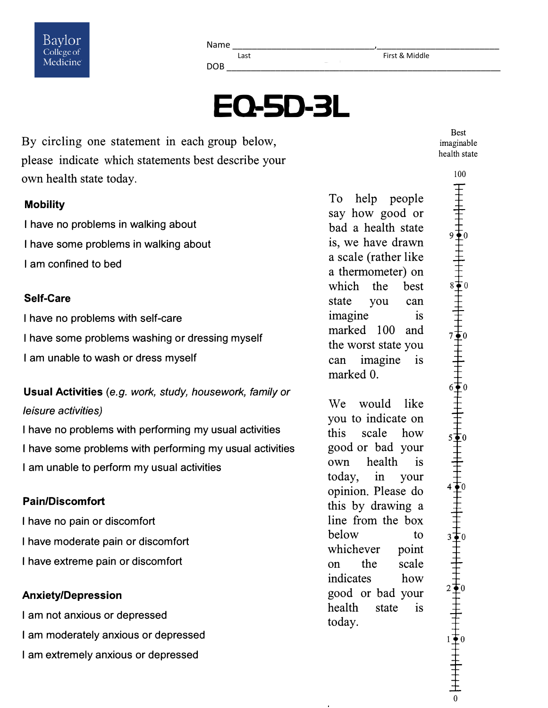Last First & Middle

DOB \_\_\_\_\_\_\_\_\_\_\_\_\_\_\_\_\_\_\_\_\_\_\_\_\_\_\_\_\_\_\_\_\_\_\_\_\_\_\_\_\_\_\_\_\_\_\_\_\_\_\_\_\_\_\_\_

# **EQ-5D-3L**

By circling one statement in each group below, please indicate which statements best describe your own health state today.

## **Mobility**

I have no problems in walking about I have some problems in walking about I am confined to bed

## **Self-Care**

I have no problems with self-care I have some problems washing or dressing myself I am unable to wash or dress myself

## Usual Activities (e.g. work, study, housework, family or *leisure activities)*

I have no problems with performing my usual activities I have some problems with performing my usual activities I am unable to perform my usual activities

## **Pain/Discomfort**

I have no pain or discomfort I have moderate pain or discomfort I have extreme pain or discomfort

## **Anxiety/Depression**

I am not anxious or depressed I am moderately anxious or depressed I am extremely anxious or depressed

To help people say how good or bad a health state is, we have drawn a scale (rather like a thermometer) on which the best state you can imagine is marked 100 and the worst state you can imagine is marked 0.

We would like you to indicate on this scale how good or bad your own health is today, in your opinion. Please do this by drawing a line from the box below to whichever point on the scale indicates how good or bad your health state is today.

Best imaginable health state

> 100  $8\bigpm 0$  $\bigtriangledown_0$  $6\overline{•}0$ 5す0  $3\bigstar 0$  $2\bar{+}0$

> > $\mathbf 0$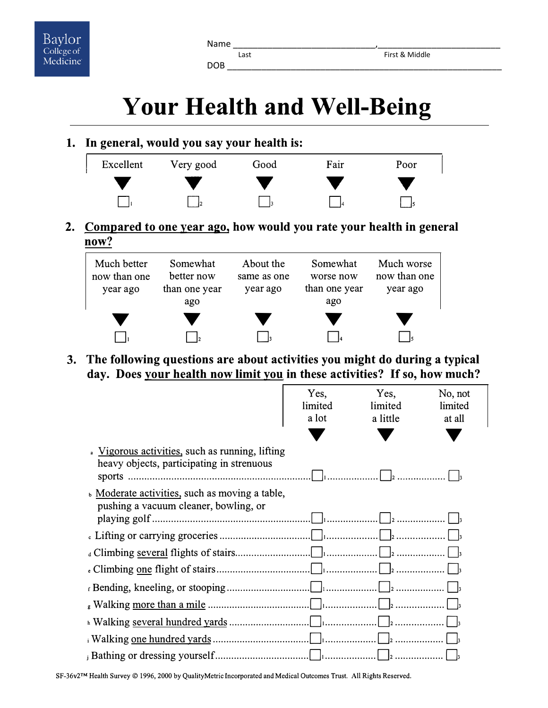## **Your Health and Well-Being**

## **1. In general, would you say your health is:**



## **2. Compared to one year ago, how would you rate your health in general now?**

| Much better<br>now than one<br>year ago | Somewhat<br>better now<br>than one year | About the<br>same as one<br>year ago | Somewhat<br>worse now<br>than one year<br>ago | Much worse<br>now than one<br>year ago |
|-----------------------------------------|-----------------------------------------|--------------------------------------|-----------------------------------------------|----------------------------------------|
|                                         | ago                                     |                                      |                                               |                                        |

## **3. The following questions are about activities you might do during a typical day. Does your health now limit you in these activities? If so, how much?**

|                                                                                               | Yes,<br>limited<br>a lot | Yes,<br>limited<br>a little | No, not<br>limited<br>at all |
|-----------------------------------------------------------------------------------------------|--------------------------|-----------------------------|------------------------------|
|                                                                                               |                          |                             |                              |
| . Vigorous activities, such as running, lifting<br>heavy objects, participating in strenuous  |                          |                             |                              |
| <b>Moderate activities</b> , such as moving a table,<br>pushing a vacuum cleaner, bowling, or |                          |                             |                              |
|                                                                                               |                          |                             |                              |
|                                                                                               |                          |                             |                              |
|                                                                                               |                          |                             |                              |
|                                                                                               |                          |                             |                              |
|                                                                                               |                          |                             |                              |
|                                                                                               |                          |                             |                              |
|                                                                                               |                          |                             |                              |
|                                                                                               |                          |                             |                              |

SF-36v2™ Health Survey© 1996, 2000 by QualityMetric Incorporated and Medical Outcomes Trust. All Rights Reserved.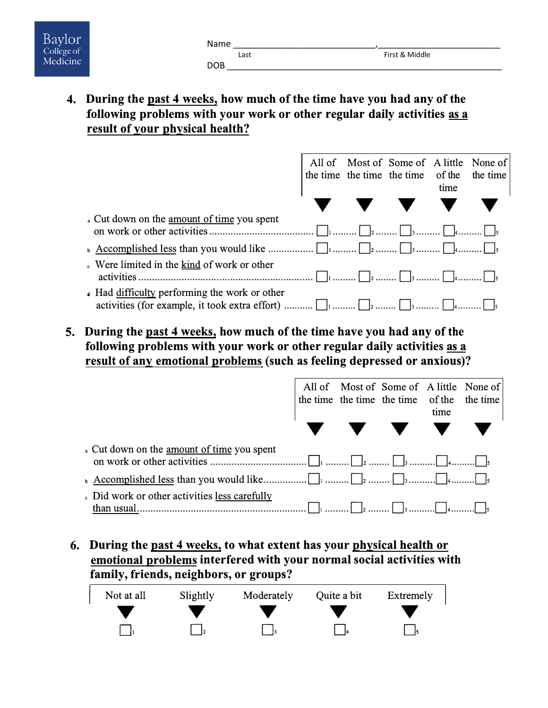Baylor College of Medicine

**4. During the past 4 weeks, how much of the time have you had any of the following problems with your work or other regular daily activities as a result of your physical health?**



**5. During the past 4 weeks, how much of the time have you had any of the following problems with your work or other regular daily activities as a result of any emotional problems (such as feeling depressed or anxious)?**

|                                                              |  | All of Most of Some of A little None of<br>the time the time the time of the the time | time |  |
|--------------------------------------------------------------|--|---------------------------------------------------------------------------------------|------|--|
|                                                              |  | <b>VVV</b>                                                                            |      |  |
| <sup>a</sup> Cut down on the <u>amount of time</u> you spent |  |                                                                                       |      |  |
|                                                              |  |                                                                                       |      |  |
| . Did work or other activities less carefully                |  |                                                                                       |      |  |

**6. During the past 4 weeks, to what extent has your physical health or emotional problems interfered with your normal social activities with family, friends, neighbors, or groups?**

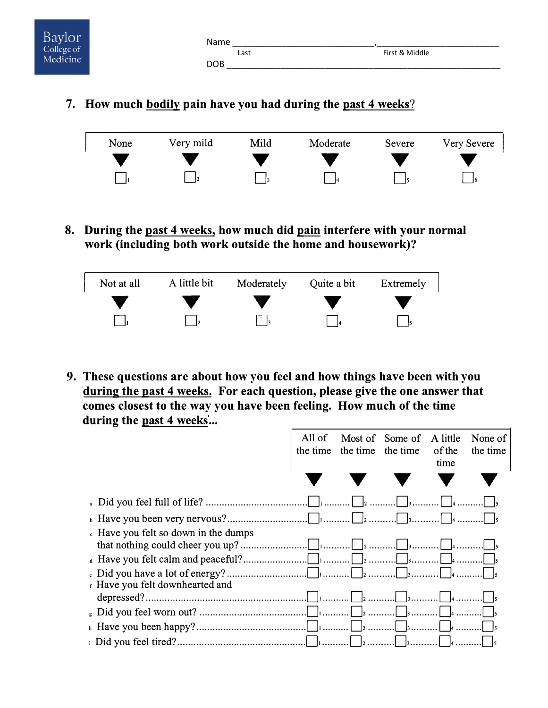

**7.** How much bodily pain have you had during the past 4 weeks?



**8. During the past 4 weeks, how much did pain interfere with your normal work (including both work outside the home and housework)?**



**9. These questions are about how you feel and how things have been with you during the past 4 weeks. For each question, please give the one answer that comes closest to the way you have been feeling. How much of the time** during the past 4 weeks...

|                                                                                                                                                                                                                                     | All of<br>the time | the time the time | Most of Some of | A little<br>of the<br>time | None of<br>the time |
|-------------------------------------------------------------------------------------------------------------------------------------------------------------------------------------------------------------------------------------|--------------------|-------------------|-----------------|----------------------------|---------------------|
|                                                                                                                                                                                                                                     |                    |                   |                 |                            |                     |
|                                                                                                                                                                                                                                     |                    |                   |                 |                            |                     |
|                                                                                                                                                                                                                                     |                    |                   |                 |                            |                     |
| E. Have you felt so down in the dumps                                                                                                                                                                                               |                    |                   |                 |                            |                     |
|                                                                                                                                                                                                                                     |                    |                   |                 |                            |                     |
| <b>If the U.S. Late Street Common Contract Common Common Common Common Common Common Common Common Common Common Common Common Common Common Common Common Common Common Common Common Common Common Common Common Common Commo</b> |                    |                   |                 |                            |                     |
|                                                                                                                                                                                                                                     |                    |                   |                 |                            |                     |
| f Have you felt downhearted and                                                                                                                                                                                                     |                    |                   |                 |                            |                     |
|                                                                                                                                                                                                                                     |                    |                   |                 |                            |                     |
|                                                                                                                                                                                                                                     |                    |                   |                 |                            |                     |
|                                                                                                                                                                                                                                     |                    |                   |                 |                            |                     |
|                                                                                                                                                                                                                                     |                    |                   |                 |                            |                     |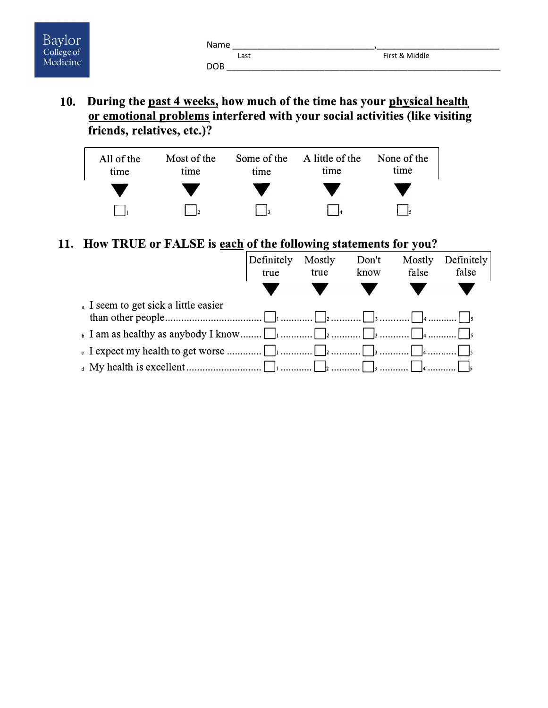## **10. During the past 4 weeks, how much of the time has your physical health or emotional problems interfered with your social activities (like visiting friends, relatives, etc.)?**

| All of the<br>time | Most of the<br>time | time | Some of the A little of the<br>time | None of the<br>time |
|--------------------|---------------------|------|-------------------------------------|---------------------|
|                    |                     |      |                                     |                     |
|                    |                     |      |                                     |                     |

## **11. How TRUE or FALSE is each of the following statements for you?**

|                                      | Definitely<br>true | Mostly<br>true | Don't<br>know | Mostly<br>false | Definitely<br>false |
|--------------------------------------|--------------------|----------------|---------------|-----------------|---------------------|
|                                      |                    |                |               |                 |                     |
| . I seem to get sick a little easier |                    |                |               |                 |                     |
|                                      |                    |                |               |                 |                     |
|                                      |                    |                |               |                 |                     |
|                                      |                    |                |               |                 |                     |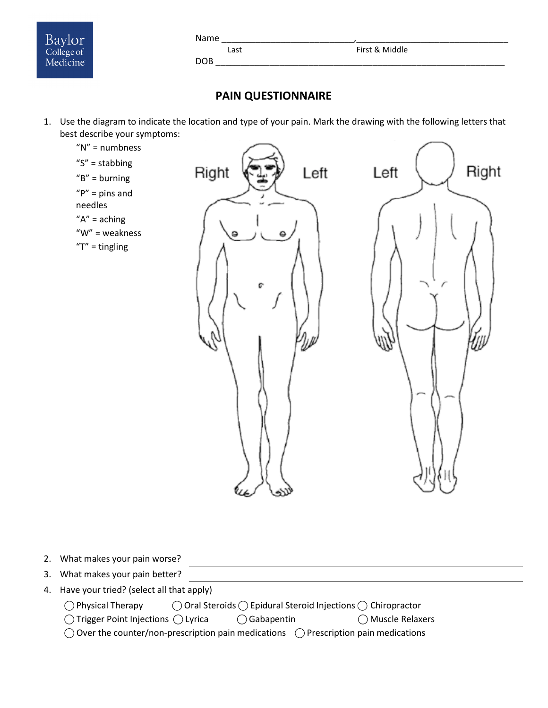Name \_\_\_\_\_\_\_\_\_\_\_\_\_\_\_\_\_\_\_\_\_\_\_\_\_\_\_,\_\_\_\_\_\_\_\_\_\_\_\_\_\_\_\_\_\_\_\_\_\_\_\_\_\_\_\_\_\_\_ Last **Example 2018** Last **First & Middle** DOB \_\_\_\_\_\_\_\_\_\_\_\_\_\_\_\_\_\_\_\_\_\_\_\_\_\_\_\_\_\_\_\_\_\_\_\_\_\_\_\_\_\_\_\_\_\_\_\_\_\_\_\_\_\_\_\_\_\_\_

## **PAIN QUESTIONNAIRE**

1. Use the diagram to indicate the location and type of your pain. Mark the drawing with the following letters that best describe your symptoms:

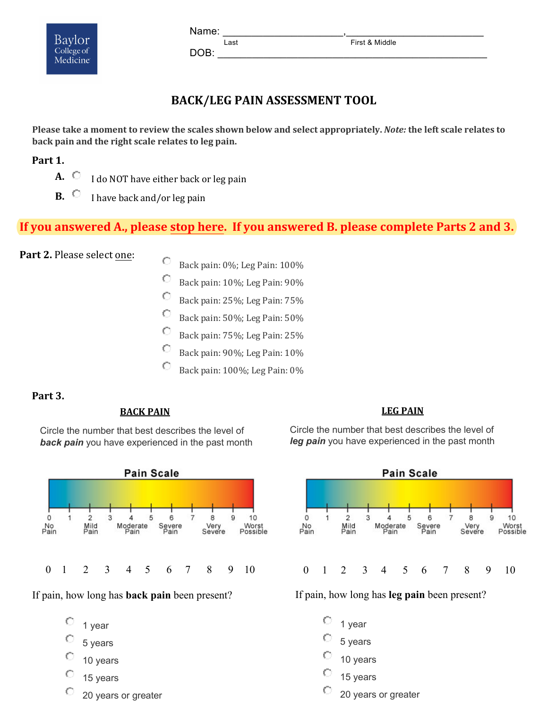DOB: \_\_\_\_\_\_\_\_\_\_\_\_\_\_\_\_\_\_\_\_\_\_\_\_\_\_\_\_\_\_\_\_\_\_\_\_\_\_\_\_\_\_\_\_\_\_\_

Last **Example 2018** Eirst & Middle

## **BACK/LEG PAIN ASSESSMENT TOOL**

**Please take a moment to review the scales shown below and select appropriately.** *Note:* **the left scale relates to back pain and the right scale relates to leg pain.**

**Part 1.**

- I do NOT have either back or leg pain **A.**
- I have back and/or leg pain **B.**

## **If you answered A., please stop here. If you answered B. please complete Parts 2 and 3.**

**Part 2.** Please select one:

- О Back pain: 0%; Leg Pain: 100%
- Ō Back pain: 10%; Leg Pain: 90%
- Ō Back pain: 25%; Leg Pain: 75%
- O Back pain: 50%; Leg Pain: 50%
- Ö Back pain: 75%; Leg Pain: 25%
- O Back pain: 90%; Leg Pain: 10%
- О Back pain: 100%; Leg Pain: 0%

## **Part 3.**

#### **BACK PAIN**

 Circle the number that best describes the level of *back pain* you have experienced in the past month



#### If pain, how long has **back pain** been present?

- 1 year
- 5 years
- 10 years
- 15 years
- 20 years or greater

#### **LEG PAIN**

Circle the number that best describes the level of *leg pain* you have experienced in the past month



If pain, how long has **leg pain** been present?

- 1 year
- 5 years
- 10 years
- 15 years
- 20 years or greater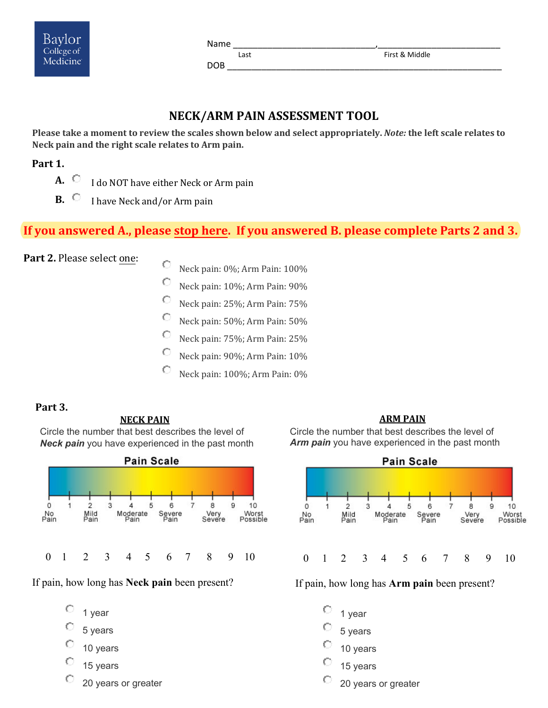Last **Example 2018** Last **First & Middle** 

DOB \_\_\_\_\_\_\_\_\_\_\_\_\_\_\_\_\_\_\_\_\_\_\_\_\_\_\_\_\_\_\_\_\_\_\_\_\_\_\_\_\_\_\_\_\_\_\_\_\_\_\_\_\_\_\_\_

## **NECK/ARM PAIN ASSESSMENT TOOL**

**Please take a moment to review the scales shown below and select appropriately.** *Note:* **the left scale relates to Neck pain and the right scale relates to Arm pain.**

**Part 1.**

- I do NOT have either Neck or Arm pain **A.**
- I have Neck and/or Arm pain  $\mathbf{B}$ .  $\heartsuit$

## **If you answered A., please stop here. If you answered B. please complete Parts 2 and 3.**

**Part 2.** Please select one:

- О Neck pain: 0%; Arm Pain: 100%
- $\circ$ Neck pain: 10%; Arm Pain: 90%
- О Neck pain: 25%; Arm Pain: 75%
- O Neck pain: 50%; Arm Pain: 50%
- Ō Neck pain: 75%; Arm Pain: 25%
- О Neck pain: 90%; Arm Pain: 10%
- O Neck pain: 100%; Arm Pain: 0%

#### **Part 3.**





If pain, how long has **Neck pain** been present?

- 1 year
- 5 years
- 10 years
- С 15 years
- 
- О 20 years or greater

#### **ARM PAIN**

Circle the number that best describes the level of *Arm pain* you have experienced in the past month



If pain, how long has **Arm pain** been present?

- 1 year 5 years 10 years
- 15 years
- 20 years or greater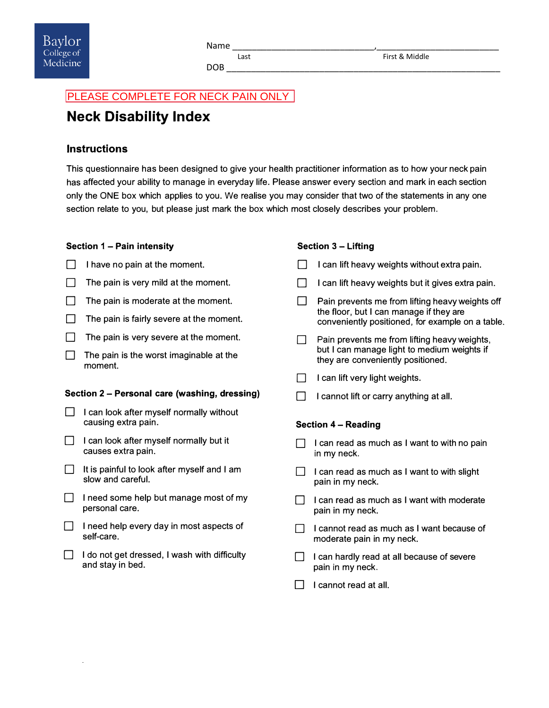Last **Example 2018** Last **First & Middle** 

## PLEASE COMPLETE FOR NECK PAIN ONLY

## **Neck Disability Index**

#### **Instructions**

This questionnaire has been designed to give your health practitioner information as to how your neck pain has affected your ability to manage in everyday life. Please answer every section and mark in each section only the ONE box which applies to you. We realise you may consider that two of the statements in any one section relate to you, but please just mark the box which most closely describes your problem.

#### **Section 1 - Pain intensity**

- $\Box$  I have no pain at the moment.
- $\Box$  The pain is very mild at the moment.
- $\Box$  The pain is moderate at the moment.
- $\Box$  The pain is fairly severe at the moment.
- $\Box$  The pain is very severe at the moment.
- $\Box$  The pain is the worst imaginable at the moment.

#### **Section 2 - Personal care (washing, dressing)**

- $\Box$  I can look after myself normally without causing extra pain.
- $\Box$  I can look after myself normally but it causes extra pain.
- $\Box$  It is painful to look after myself and I am slow and careful.
- $\Box$  I need some help but manage most of my personal care.
- $\Box$  I need help every day in most aspects of self-care.
- $\Box$  I do not get dressed, I wash with difficulty and stay in bed.

#### **Section 3 - Lifting**

DOB \_\_\_\_\_\_\_\_\_\_\_\_\_\_\_\_\_\_\_\_\_\_\_\_\_\_\_\_\_\_\_\_\_\_\_\_\_\_\_\_\_\_\_\_\_\_\_\_\_\_\_\_\_\_\_\_

|                | I can lift heavy weights without extra pain.                                                                                                   |
|----------------|------------------------------------------------------------------------------------------------------------------------------------------------|
|                | I can lift heavy weights but it gives extra pain.                                                                                              |
|                | Pain prevents me from lifting heavy weights off<br>the floor, but I can manage if they are<br>conveniently positioned, for example on a table. |
| $\mathbf{I}$   | Pain prevents me from lifting heavy weights,<br>but I can manage light to medium weights if<br>they are conveniently positioned.               |
|                | I can lift very light weights.                                                                                                                 |
|                | I cannot lift or carry anything at all.                                                                                                        |
|                |                                                                                                                                                |
|                |                                                                                                                                                |
|                | <b>Section 4 – Reading</b>                                                                                                                     |
|                | I can read as much as I want to with no pain<br>in my neck.                                                                                    |
|                | I can read as much as I want to with slight<br>pain in my neck.                                                                                |
| $\blacksquare$ | I can read as much as I want with moderate<br>pain in my neck.                                                                                 |
|                | I cannot read as much as I want because of<br>moderate pain in my neck.                                                                        |

 $\Box$  I cannot read at all.